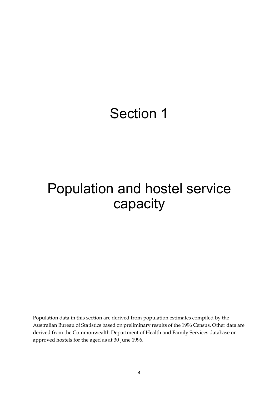# Section 1

## Population and hostel service capacity

Population data in this section are derived from population estimates compiled by the Australian Bureau of Statistics based on preliminary results of the 1996 Census. Other data are derived from the Commonwealth Department of Health and Family Services database on approved hostels for the aged as at 30 June 1996.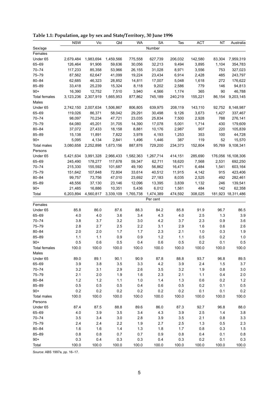|                               | <b>NSW</b> | Vic       | Qld       | <b>WA</b> | <b>SA</b> | Tas     | <b>ACT</b> | ΝT     | Australia          |
|-------------------------------|------------|-----------|-----------|-----------|-----------|---------|------------|--------|--------------------|
| Sex/age                       |            |           |           |           | Number    |         |            |        |                    |
| Females                       |            |           |           |           |           |         |            |        |                    |
| Under 65                      | 2,679,484  | 1,983,694 | 1,459,566 | 775,558   | 627,739   | 206,032 | 142,580    | 83,304 | 7,959,319          |
| 65-69                         | 126,464    | 91,906    | 59,636    | 30,056    | 32,213    | 9,494   | 3,895      | 1,104  | 354,783            |
| $70 - 74$                     | 117,233    | 85,358    | 53,966    | 26,155    | 31,028    | 8,971   | 3,556      | 753    | 327,023            |
| $75 - 79$                     | 87,562     | 62,647    | 41,099    | 19,224    | 23,434    | 6,914   | 2,428      | 485    | 243,797            |
| $80 - 84$                     | 62,685     | 46,323    | 28,852    | 14,811    | 17,007    | 5,048   | 1,618      | 272    | 176,622            |
| $85 - 89$                     | 33,418     | 25,239    | 15,324    | 8,118     | 9,202     | 2,586   | 779        | 146    | 94,813             |
| $90+$                         | 16,390     | 12,752    | 7,510     | 3,940     | 4,566     | 1,174   | 365        | 90     | 46,788             |
| <b>Total females</b>          | 3,123,236  | 2,307,919 | 1,665,953 | 877,862   | 745,189   | 240,219 | 155,221    | 86,154 | 9,203,145          |
| Males                         |            |           |           |           |           |         |            |        |                    |
| Under 65                      | 2,742,150  | 2,007,634 | 1,506,867 | 806,805   | 639,975   | 208,119 | 143,110    | 92,752 | 8,148,987          |
| 65-69                         | 119,026    | 86,371    | 58,042    | 29,291    | 30,498    | 9,126   | 3,673      | 1,427  | 337,467            |
| $70 - 74$                     | 98,097     | 70,234    | 47,721    | 23,035    | 25,834    | 7,500   | 2,928      | 788    | 276,141            |
| $75 - 79$                     | 64,080     | 45,201    | 31,705    | 14,390    | 17,078    | 5,001   | 1,714      | 430    | 179,609            |
| $80 - 84$                     | 37,072     | 27,433    | 18,158    | 8,881     | 10,176    | 2,987   | 907        | 220    | 105,839            |
| $85 - 89$                     | 15,138     | 11,891    | 7,822     | 3,978     | 4,193     | 1,253   | 353        | 100    | 44,728             |
| $90+$                         | 5,095      | 4,134     | 2,841     | 1,496     | 1,446     | 387     | 119        | 52     | 15,570             |
| Total males<br>Persons        | 3,080,658  | 2,252,898 | 1,673,156 | 887,876   | 729,200   | 234,373 | 152,804    | 95,769 | 9,108,341          |
| Under 65                      | 5,421,634  | 3,991,328 | 2,966,433 | 1,582,363 | 1,267,714 | 414,151 | 285,690    |        | 176,056 16,108,306 |
| 65-69                         | 245,490    | 178,277   | 117,678   | 59,347    | 62,711    | 18,620  | 7,568      | 2,531  | 692,250            |
| $70 - 74$                     | 215,330    | 155,592   | 101,687   | 49,190    | 56,862    | 16,471  | 6,484      | 1,541  | 603,164            |
| $75 - 79$                     | 151,642    | 107,848   | 72,804    | 33,614    | 40,512    | 11,915  | 4,142      | 915    | 423,406            |
| $80 - 84$                     | 99,757     | 73,756    | 47,010    | 23,692    | 27,183    | 8,035   | 2,525      | 492    | 282,461            |
| $85 - 89$                     | 48,556     | 37,130    | 23,146    | 12,096    | 13,395    | 3,839   | 1,132      | 246    | 139,541            |
| $90+$                         | 21,485     | 16,886    | 10,351    | 5,436     | 6,012     | 1,561   | 484        | 142    | 62,358             |
| Total                         | 6,203,894  | 4,560,817 | 3,339,109 | 1,765,738 | 1,474,389 | 474,592 | 308,025    |        | 181,923 18,311,486 |
|                               |            |           |           |           | Per cent  |         |            |        |                    |
| Females                       |            |           |           |           |           |         |            |        |                    |
| Under 65                      | 85.8       | 86.0      | 87.6      | 88.3      | 84.2      | 85.8    | 91.9       | 96.7   | 86.5               |
| 65-69                         | 4.0        | 4.0       | 3.6       | 3.4       | 4.3       | 4.0     | 2.5        | 1.3    | 3.9                |
| $70 - 74$                     | 3.8        | 3.7       | 3.2       | 3.0       | 4.2       | 3.7     | 2.3        | 0.9    | 3.6                |
| $75 - 79$                     | 2.8        | 2.7       | 2.5       | 2.2       | 3.1       | 2.9     | 1.6        | 0.6    | 2.6                |
| $80 - 84$                     | 2.0        | 2.0       | 1.7       | 1.7       | 2.3       | 2.1     | 1.0        | 0.3    | 1.9                |
| $85 - 89$                     | 1.1        | $1.1$     | 0.9       | 0.9       | 1.2       | 1.1     | 0.5        | 0.2    | 1.0                |
| $90+$                         | 0.5        | 0.6       | 0.5       | 0.4       | 0.6       | 0.5     | 0.2        | 0.1    | 0.5                |
| <b>Total females</b><br>Males | 100.0      | 100.0     | 100.0     | 100.0     | 100.0     | 100.0   | 100.0      | 100.0  | 100.0              |
| Under 65                      | 89.0       | 89.1      | 90.1      | 90.9      | 87.8      | 88.8    | 93.7       | 96.8   | 89.5               |
| 65-69                         | 3.9        | 3.8       | 3.5       | 3.3       | 4.2       | 3.9     | 2.4        | 1.5    | 3.7                |
| $70 - 74$                     | $3.2\,$    | 3.1       | 2.9       | 2.6       | 3.5       | 3.2     | 1.9        | 0.8    | 3.0                |
| $75 - 79$                     | 2.1        | 2.0       | 1.9       | 1.6       | 2.3       | 2.1     | 1.1        | 0.4    | 2.0                |
| $80 - 84$                     | $1.2$      | 1.2       | 1.1       | $1.0$     | 1.4       | 1.3     | 0.6        | 0.2    | 1.2                |
| 85-89                         | 0.5        | 0.5       | 0.5       | 0.4       | 0.6       | 0.5     | 0.2        | 0.1    | 0.5                |
| $90+$                         | 0.2        | 0.2       | 0.2       | 0.2       | 0.2       | 0.2     | 0.1        | 0.1    | 0.2                |
| <b>Total males</b>            | 100.0      | 100.0     | 100.0     | 100.0     | 100.0     | 100.0   | 100.0      | 100.0  | 100.0              |
| Persons                       |            |           |           |           |           |         |            |        |                    |
| Under 65                      | 87.4       | 87.5      | 88.8      | 89.6      | 86.0      | 87.3    | 92.7       | 96.8   | 88.0               |
| 65-69                         | 4.0        | 3.9       | 3.5       | 3.4       | 4.3       | 3.9     | 2.5        | 1.4    | 3.8                |
| $70 - 74$                     | 3.5        | 3.4       | 3.0       | 2.8       | 3.9       | 3.5     | 2.1        | 0.8    | 3.3                |
| $75 - 79$                     | 2.4        | 2.4       | 2.2       | 1.9       | 2.7       | 2.5     | 1.3        | 0.5    | 2.3                |
| $80 - 84$                     | 1.6        | 1.6       | 1.4       | $1.3$     | 1.8       | 1.7     | 0.8        | 0.3    | 1.5                |
| 85-89                         | 0.8        | 0.8       | 0.7       | 0.7       | 0.9       | 0.8     | 0.4        | 0.1    | 0.8                |
| $90+$                         | 0.3        | 0.4       | 0.3       | 0.3       | 0.4       | 0.3     | 0.2        | 0.1    | 0.3                |
| Total                         | 100.0      | 100.0     | 100.0     | 100.0     | 100.0     | 100.0   | 100.0      | 100.0  | 100.0              |

**Table 1.1: Population, age by sex and State/Territory, 30 June 1996**

Source: ABS 1997a, pp. 16–17.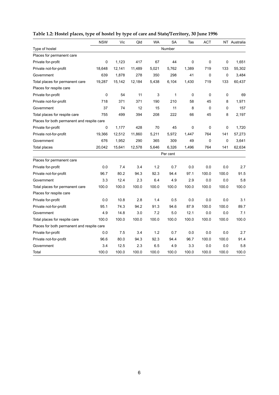|  |  | Table 1.2: Hostel places, type of hostel by type of care and State/Territory, 30 June 1996 |  |
|--|--|--------------------------------------------------------------------------------------------|--|
|  |  |                                                                                            |  |

|                                            | <b>NSW</b> | Vic    | Qld    | <b>WA</b> | <b>SA</b> | Tas   | <b>ACT</b>  |       | NT Australia |
|--------------------------------------------|------------|--------|--------|-----------|-----------|-------|-------------|-------|--------------|
| Type of hostel                             |            |        |        |           | Number    |       |             |       |              |
| Places for permanent care                  |            |        |        |           |           |       |             |       |              |
| Private for-profit                         | 0          | 1,123  | 417    | 67        | 44        | 0     | 0           | 0     | 1,651        |
| Private not-for-profit                     | 18,648     | 12,141 | 11,489 | 5,021     | 5,762     | 1,389 | 719         | 133   | 55,302       |
| Government                                 | 639        | 1,878  | 278    | 350       | 298       | 41    | 0           | 0     | 3,484        |
| Total places for permanent care            | 19,287     | 15,142 | 12,184 | 5,438     | 6,104     | 1,430 | 719         | 133   | 60,437       |
| Places for respite care                    |            |        |        |           |           |       |             |       |              |
| Private for-profit                         | 0          | 54     | 11     | 3         | 1         | 0     | $\mathbf 0$ | 0     | 69           |
| Private not-for-profit                     | 718        | 371    | 371    | 190       | 210       | 58    | 45          | 8     | 1,971        |
| Government                                 | 37         | 74     | 12     | 15        | 11        | 8     | 0           | 0     | 157          |
| Total places for respite care              | 755        | 499    | 394    | 208       | 222       | 66    | 45          | 8     | 2,197        |
| Places for both permanent and respite care |            |        |        |           |           |       |             |       |              |
| Private for-profit                         | 0          | 1,177  | 428    | 70        | 45        | 0     | 0           | 0     | 1,720        |
| Private not-for-profit                     | 19,366     | 12,512 | 11,860 | 5,211     | 5,972     | 1,447 | 764         | 141   | 57,273       |
| Government                                 | 676        | 1,952  | 290    | 365       | 309       | 49    | 0           | 0     | 3,641        |
| Total places                               | 20,042     | 15,641 | 12,578 | 5,646     | 6,326     | 1,496 | 764         | 141   | 62,634       |
|                                            |            |        |        |           | Per cent  |       |             |       |              |
| Places for permanent care                  |            |        |        |           |           |       |             |       |              |
| Private for-profit                         | 0.0        | 7.4    | 3.4    | 1.2       | 0.7       | 0.0   | 0.0         | 0.0   | 2.7          |
| Private not-for-profit                     | 96.7       | 80.2   | 94.3   | 92.3      | 94.4      | 97.1  | 100.0       | 100.0 | 91.5         |
| Government                                 | 3.3        | 12.4   | 2.3    | 6.4       | 4.9       | 2.9   | 0.0         | 0.0   | 5.8          |
| Total places for permanent care            | 100.0      | 100.0  | 100.0  | 100.0     | 100.0     | 100.0 | 100.0       | 100.0 | 100.0        |
| Places for respite care                    |            |        |        |           |           |       |             |       |              |
| Private for-profit                         | 0.0        | 10.8   | 2.8    | 1.4       | 0.5       | 0.0   | 0.0         | 0.0   | 3.1          |
| Private not-for-profit                     | 95.1       | 74.3   | 94.2   | 91.3      | 94.6      | 87.9  | 100.0       | 100.0 | 89.7         |
| Government                                 | 4.9        | 14.8   | 3.0    | 7.2       | 5.0       | 12.1  | 0.0         | 0.0   | 7.1          |
| Total places for respite care              | 100.0      | 100.0  | 100.0  | 100.0     | 100.0     | 100.0 | 100.0       | 100.0 | 100.0        |
| Places for both permanent and respite care |            |        |        |           |           |       |             |       |              |
| Private for-profit                         | 0.0        | 7.5    | 3.4    | 1.2       | 0.7       | 0.0   | 0.0         | 0.0   | 2.7          |
| Private not-for-profit                     | 96.6       | 80.0   | 94.3   | 92.3      | 94.4      | 96.7  | 100.0       | 100.0 | 91.4         |
| Government                                 | 3.4        | 12.5   | 2.3    | 6.5       | 4.9       | 3.3   | 0.0         | 0.0   | 5.8          |
| Total                                      | 100.0      | 100.0  | 100.0  | 100.0     | 100.0     | 100.0 | 100.0       | 100.0 | 100.0        |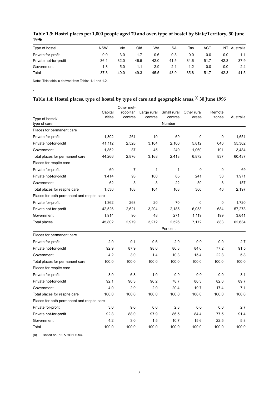| Type of hostel         | <b>NSW</b> | Vic  | Qld  | <b>WA</b> | SΑ   | Tas  | <b>ACT</b> | NT   | Australia |
|------------------------|------------|------|------|-----------|------|------|------------|------|-----------|
| Private for-profit     | 0.0        | 3.0  | 1.7  | 0.6       | 0.3  | 0.0  | 0.0        | 0.0  | 1.1       |
| Private not-for-profit | 36.1       | 32.0 | 46.5 | 42.0      | 41.5 | 34.6 | 51.7       | 42.3 | 37.9      |
| Government             | 1.3        | 5.0  | 1.1  | 2.9       | 2.1  | 1.2  | 0.0        | 0.0  | 2.4       |
| Total                  | 37.3       | 40.0 | 49.3 | 45.5      | 43.9 | 35.8 | 51.7       | 42.3 | 41.5      |

#### **Table 1.3: Hostel places per 1,000 people aged 70 and over, type of hostel by State/Territory, 30 June 1996**

Note: This table is derived from Tables 1.1 and 1.2.

.

### **Table 1.4: Hostel places, type of hostel by type of care and geographic areas,(a) 30 June 1996**

|                                            |         | Other met- |              |             |             |        |           |
|--------------------------------------------|---------|------------|--------------|-------------|-------------|--------|-----------|
|                                            | Capital | ropolitan  | Large rural  | Small rural | Other rural | Remote |           |
| Type of hostel/                            | cities  | centres    | centres      | centres     | areas       | zones  | Australia |
| type of care                               |         |            |              | Number      |             |        |           |
| Places for permanent care                  |         |            |              |             |             |        |           |
| Private for-profit                         | 1,302   | 261        | 19           | 69          | 0           | 0      | 1,651     |
| Private not-for-profit                     | 41,112  | 2,528      | 3,104        | 2,100       | 5,812       | 646    | 55,302    |
| Government                                 | 1,852   | 87         | 45           | 249         | 1,060       | 191    | 3,484     |
| Total places for permanent care            | 44,266  | 2,876      | 3,168        | 2,418       | 6,872       | 837    | 60,437    |
| Places for respite care                    |         |            |              |             |             |        |           |
| Private for-profit                         | 60      | 7          | $\mathbf{1}$ | 1           | 0           | 0      | 69        |
| Private not-for-profit                     | 1.414   | 93         | 100          | 85          | 241         | 38     | 1,971     |
| Government                                 | 62      | 3          | 3            | 22          | 59          | 8      | 157       |
| Total places for respite care              | 1,536   | 103        | 104          | 108         | 300         | 46     | 2,197     |
| Places for both permanent and respite care |         |            |              |             |             |        |           |
| Private for-profit                         | 1,362   | 268        | 20           | 70          | 0           | 0      | 1,720     |
| Private not-for-profit                     | 42,526  | 2,621      | 3,204        | 2,185       | 6,053       | 684    | 57,273    |
| Government                                 | 1,914   | 90         | 48           | 271         | 1,119       | 199    | 3,641     |
| Total places                               | 45,802  | 2.979      | 3,272        | 2.526       | 7,172       | 883    | 62.634    |
|                                            |         |            |              | Per cent    |             |        |           |
| Places for permanent care                  |         |            |              |             |             |        |           |
| Private for-profit                         | 2.9     | 9.1        | 0.6          | 2.9         | 0.0         | 0.0    | 2.7       |
| Private not-for-profit                     | 92.9    | 87.9       | 98.0         | 86.8        | 84.6        | 77.2   | 91.5      |
| Government                                 | 4.2     | 3.0        | 1.4          | 10.3        | 15.4        | 22.8   | 5.8       |
| Total places for permanent care            | 100.0   | 100.0      | 100.0        | 100.0       | 100.0       | 100.0  | 100.0     |
| Places for respite care                    |         |            |              |             |             |        |           |
| Private for-profit                         | 3.9     | 6.8        | 1.0          | 0.9         | 0.0         | 0.0    | 3.1       |
| Private not-for-profit                     | 92.1    | 90.3       | 96.2         | 78.7        | 80.3        | 82.6   | 89.7      |
| Government                                 | 4.0     | 2.9        | 2.9          | 20.4        | 19.7        | 17.4   | 7.1       |
| Total places for respite care              | 100.0   | 100.0      | 100.0        | 100.0       | 100.0       | 100.0  | 100.0     |
| Places for both permanent and respite care |         |            |              |             |             |        |           |
| Private for-profit                         | 3.0     | 9.0        | 0.6          | 2.8         | 0.0         | 0.0    | 2.7       |
| Private not-for-profit                     | 92.8    | 88.0       | 97.9         | 86.5        | 84.4        | 77.5   | 91.4      |
| Government                                 | 4.2     | 3.0        | 1.5          | 10.7        | 15.6        | 22.5   | 5.8       |
| Total                                      | 100.0   | 100.0      | 100.0        | 100.0       | 100.0       | 100.0  | 100.0     |

(a) Based on PIE & HSH 1994.